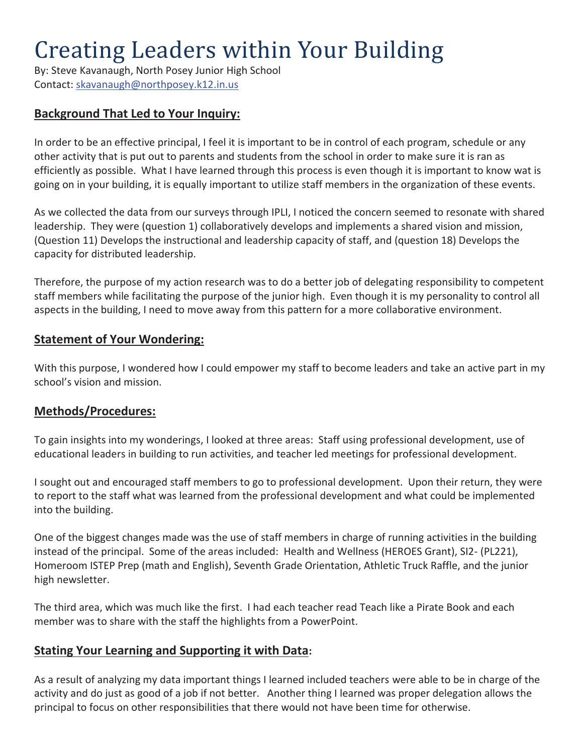# Creating Leaders within Your Building

By: Steve Kavanaugh, North Posey Junior High School Contact: skavanaugh@northposey.k12.in.us

## **Background That Led to Your Inquiry:**

In order to be an effective principal, I feel it is important to be in control of each program, schedule or any other activity that is put out to parents and students from the school in order to make sure it is ran as efficiently as possible. What I have learned through this process is even though it is important to know wat is going on in your building, it is equally important to utilize staff members in the organization of these events.

As we collected the data from our surveys through IPLI, I noticed the concern seemed to resonate with shared leadership. They were (question 1) collaboratively develops and implements a shared vision and mission, (Question 11) Develops the instructional and leadership capacity of staff, and (question 18) Develops the capacity for distributed leadership.

Therefore, the purpose of my action research was to do a better job of delegating responsibility to competent staff members while facilitating the purpose of the junior high. Even though it is my personality to control all aspects in the building, I need to move away from this pattern for a more collaborative environment.

#### **Statement of Your Wondering:**

With this purpose, I wondered how I could empower my staff to become leaders and take an active part in my school's vision and mission.

#### **Methods/Procedures:**

To gain insights into my wonderings, I looked at three areas: Staff using professional development, use of educational leaders in building to run activities, and teacher led meetings for professional development.

I sought out and encouraged staff members to go to professional development. Upon their return, they were to report to the staff what was learned from the professional development and what could be implemented into the building.

One of the biggest changes made was the use of staff members in charge of running activities in the building instead of the principal. Some of the areas included: Health and Wellness (HEROES Grant), SI2- (PL221), Homeroom ISTEP Prep (math and English), Seventh Grade Orientation, Athletic Truck Raffle, and the junior high newsletter.

The third area, which was much like the first. I had each teacher read Teach like a Pirate Book and each member was to share with the staff the highlights from a PowerPoint.

#### **Stating Your Learning and Supporting it with Data:**

As a result of analyzing my data important things I learned included teachers were able to be in charge of the activity and do just as good of a job if not better. Another thing I learned was proper delegation allows the principal to focus on other responsibilities that there would not have been time for otherwise.